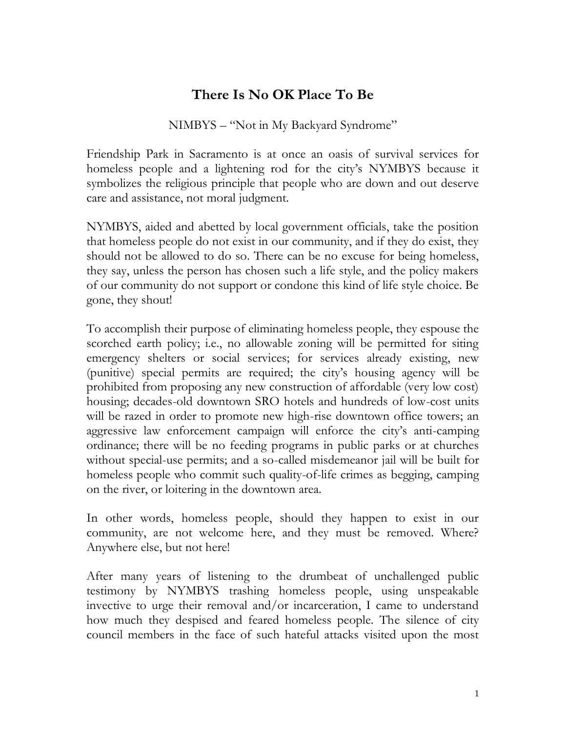## **There Is No OK Place To Be**

## NIMBYS – "Not in My Backyard Syndrome"

Friendship Park in Sacramento is at once an oasis of survival services for homeless people and a lightening rod for the city's NYMBYS because it symbolizes the religious principle that people who are down and out deserve care and assistance, not moral judgment.

NYMBYS, aided and abetted by local government officials, take the position that homeless people do not exist in our community, and if they do exist, they should not be allowed to do so. There can be no excuse for being homeless, they say, unless the person has chosen such a life style, and the policy makers of our community do not support or condone this kind of life style choice. Be gone, they shout!

To accomplish their purpose of eliminating homeless people, they espouse the scorched earth policy; i.e., no allowable zoning will be permitted for siting emergency shelters or social services; for services already existing, new (punitive) special permits are required; the city's housing agency will be prohibited from proposing any new construction of affordable (very low cost) housing; decades-old downtown SRO hotels and hundreds of low-cost units will be razed in order to promote new high-rise downtown office towers; an aggressive law enforcement campaign will enforce the city's anti-camping ordinance; there will be no feeding programs in public parks or at churches without special-use permits; and a so-called misdemeanor jail will be built for homeless people who commit such quality-of-life crimes as begging, camping on the river, or loitering in the downtown area.

In other words, homeless people, should they happen to exist in our community, are not welcome here, and they must be removed. Where? Anywhere else, but not here!

After many years of listening to the drumbeat of unchallenged public testimony by NYMBYS trashing homeless people, using unspeakable invective to urge their removal and/or incarceration, I came to understand how much they despised and feared homeless people. The silence of city council members in the face of such hateful attacks visited upon the most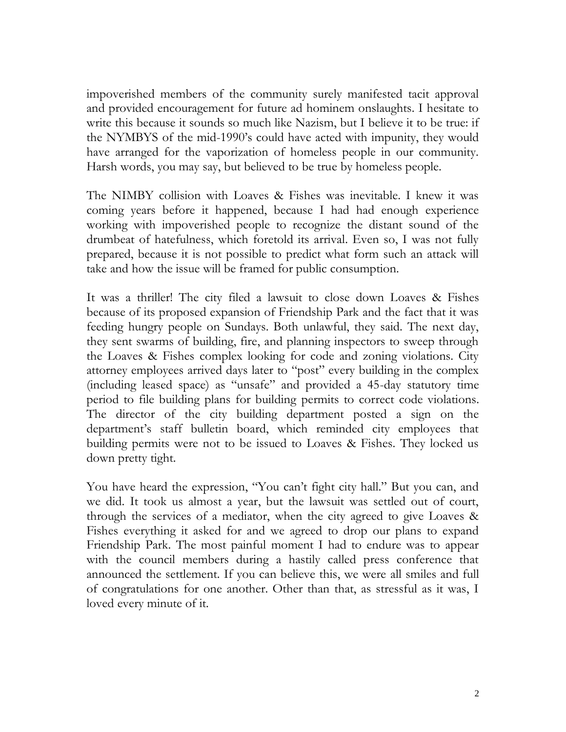impoverished members of the community surely manifested tacit approval and provided encouragement for future ad hominem onslaughts. I hesitate to write this because it sounds so much like Nazism, but I believe it to be true: if the NYMBYS of the mid-1990's could have acted with impunity, they would have arranged for the vaporization of homeless people in our community. Harsh words, you may say, but believed to be true by homeless people.

The NIMBY collision with Loaves & Fishes was inevitable. I knew it was coming years before it happened, because I had had enough experience working with impoverished people to recognize the distant sound of the drumbeat of hatefulness, which foretold its arrival. Even so, I was not fully prepared, because it is not possible to predict what form such an attack will take and how the issue will be framed for public consumption.

It was a thriller! The city filed a lawsuit to close down Loaves & Fishes because of its proposed expansion of Friendship Park and the fact that it was feeding hungry people on Sundays. Both unlawful, they said. The next day, they sent swarms of building, fire, and planning inspectors to sweep through the Loaves & Fishes complex looking for code and zoning violations. City attorney employees arrived days later to "post" every building in the complex (including leased space) as "unsafe" and provided a 45-day statutory time period to file building plans for building permits to correct code violations. The director of the city building department posted a sign on the department's staff bulletin board, which reminded city employees that building permits were not to be issued to Loaves & Fishes. They locked us down pretty tight.

You have heard the expression, "You can't fight city hall." But you can, and we did. It took us almost a year, but the lawsuit was settled out of court, through the services of a mediator, when the city agreed to give Loaves & Fishes everything it asked for and we agreed to drop our plans to expand Friendship Park. The most painful moment I had to endure was to appear with the council members during a hastily called press conference that announced the settlement. If you can believe this, we were all smiles and full of congratulations for one another. Other than that, as stressful as it was, I loved every minute of it.